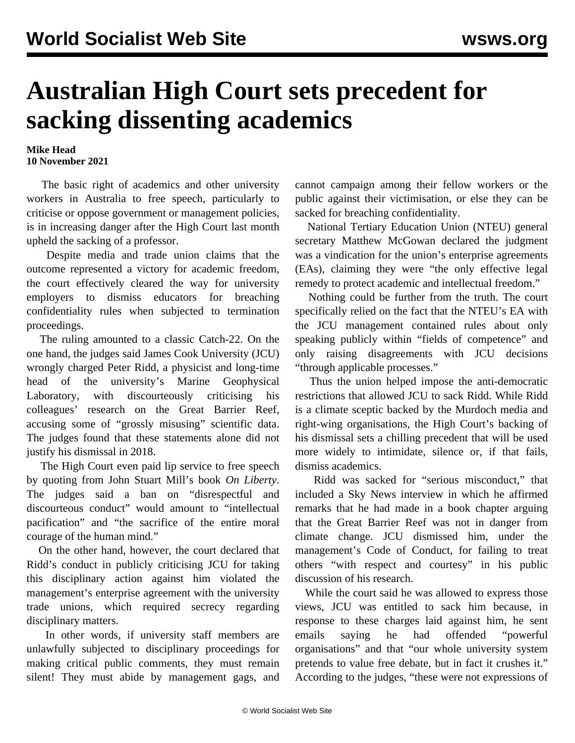## **Australian High Court sets precedent for sacking dissenting academics**

**Mike Head 10 November 2021**

 The basic right of academics and other university workers in Australia to free speech, particularly to criticise or oppose government or management policies, is in increasing danger after the High Court last month upheld the sacking of a professor.

 Despite media and trade union claims that the outcome represented a victory for academic freedom, the court effectively cleared the way for university employers to dismiss educators for breaching confidentiality rules when subjected to termination proceedings.

 The ruling amounted to a classic Catch-22. On the one hand, the judges said James Cook University (JCU) wrongly charged Peter Ridd, a physicist and long-time head of the university's Marine Geophysical Laboratory, with discourteously criticising his colleagues' research on the Great Barrier Reef, accusing some of "grossly misusing" scientific data. The judges found that these statements alone did not justify his dismissal in 2018.

 The High Court even paid lip service to free speech by quoting from John Stuart Mill's book *On Liberty*. The judges said a ban on "disrespectful and discourteous conduct" would amount to "intellectual pacification" and "the sacrifice of the entire moral courage of the human mind."

 On the other hand, however, the court declared that Ridd's conduct in publicly criticising JCU for taking this disciplinary action against him violated the management's enterprise agreement with the university trade unions, which required secrecy regarding disciplinary matters.

 In other words, if university staff members are unlawfully subjected to disciplinary proceedings for making critical public comments, they must remain silent! They must abide by management gags, and cannot campaign among their fellow workers or the public against their victimisation, or else they can be sacked for breaching confidentiality.

 National Tertiary Education Union (NTEU) general secretary Matthew McGowan declared the judgment was a vindication for the union's enterprise agreements (EAs), claiming they were "the only effective legal remedy to protect academic and intellectual freedom."

 Nothing could be further from the truth. The court specifically relied on the fact that the NTEU's EA with the JCU management contained rules about only speaking publicly within "fields of competence" and only raising disagreements with JCU decisions "through applicable processes."

 Thus the union helped impose the anti-democratic restrictions that allowed JCU to sack Ridd. While Ridd is a climate sceptic backed by the Murdoch media and right-wing organisations, the High Court's backing of his dismissal sets a chilling precedent that will be used more widely to intimidate, silence or, if that fails, dismiss academics.

 Ridd was sacked for "serious misconduct," that included a Sky News interview in which he affirmed remarks that he had made in a book chapter arguing that the Great Barrier Reef was not in danger from climate change. JCU dismissed him, under the management's Code of Conduct, for failing to treat others "with respect and courtesy" in his public discussion of his research.

 While the court said he was allowed to express those views, JCU was entitled to sack him because, in response to these charges laid against him, he sent emails saying he had offended "powerful organisations" and that "our whole university system pretends to value free debate, but in fact it crushes it." According to the judges, "these were not expressions of